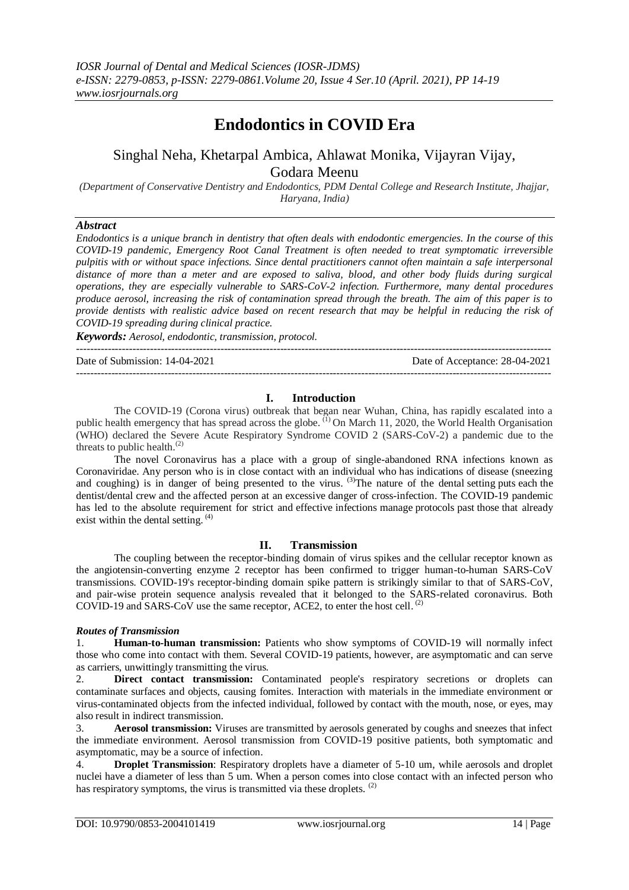# **Endodontics in COVID Era**

## Singhal Neha, Khetarpal Ambica, Ahlawat Monika, Vijayran Vijay, Godara Meenu

*(Department of Conservative Dentistry and Endodontics, PDM Dental College and Research Institute, Jhajjar, Haryana, India)*

### *Abstract*

*Endodontics is a unique branch in dentistry that often deals with endodontic emergencies. In the course of this COVID-19 pandemic, Emergency Root Canal Treatment is often needed to treat symptomatic irreversible pulpitis with or without space infections. Since dental practitioners cannot often maintain a safe interpersonal distance of more than a meter and are exposed to saliva, blood, and other body fluids during surgical operations, they are especially vulnerable to SARS-CoV-2 infection. Furthermore, many dental procedures produce aerosol, increasing the risk of contamination spread through the breath. The aim of this paper is to provide dentists with realistic advice based on recent research that may be helpful in reducing the risk of COVID-19 spreading during clinical practice.*

*Keywords: Aerosol, endodontic, transmission, protocol.*

---------------------------------------------------------------------------------------------------------------------------------------

Date of Submission: 14-04-2021 Date of Acceptance: 28-04-2021

### **I. Introduction**

 $-1-\frac{1}{2}$ 

The COVID-19 (Corona virus) outbreak that began near Wuhan, China, has rapidly escalated into a public health emergency that has spread across the globe.  $^{(1)}$  On March 11, 2020, the World Health Organisation (WHO) declared the Severe Acute Respiratory Syndrome COVID 2 (SARS-CoV-2) a pandemic due to the threats to public health.<sup>(2)</sup>

The novel Coronavirus has a place with a group of single-abandoned RNA infections known as Coronaviridae. Any person who is in close contact with an individual who has indications of disease (sneezing and coughing) is in danger of being presented to the virus. <sup>(3)</sup>The nature of the dental setting puts each the dentist/dental crew and the affected person at an excessive danger of cross-infection. The COVID-19 pandemic has led to the absolute requirement for strict and effective infections manage protocols past those that already exist within the dental setting.  $(4)$ 

### **II. Transmission**

The coupling between the receptor-binding domain of virus spikes and the cellular receptor known as the angiotensin-converting enzyme 2 receptor has been confirmed to trigger human-to-human SARS-CoV transmissions. COVID-19's receptor-binding domain spike pattern is strikingly similar to that of SARS-CoV, and pair-wise protein sequence analysis revealed that it belonged to the SARS-related coronavirus. Both COVID-19 and SARS-CoV use the same receptor, ACE2, to enter the host cell.  $^{(2)}$ 

### *Routes of Transmission*

1. **Human-to-human transmission:** Patients who show symptoms of COVID-19 will normally infect those who come into contact with them. Several COVID-19 patients, however, are asymptomatic and can serve as carriers, unwittingly transmitting the virus.

2. **Direct contact transmission:** Contaminated people's respiratory secretions or droplets can contaminate surfaces and objects, causing fomites. Interaction with materials in the immediate environment or virus-contaminated objects from the infected individual, followed by contact with the mouth, nose, or eyes, may also result in indirect transmission.

3. **Aerosol transmission:** Viruses are transmitted by aerosols generated by coughs and sneezes that infect the immediate environment. Aerosol transmission from COVID-19 positive patients, both symptomatic and asymptomatic, may be a source of infection.

4. **Droplet Transmission**: Respiratory droplets have a diameter of 5-10 um, while aerosols and droplet nuclei have a diameter of less than 5 um. When a person comes into close contact with an infected person who has respiratory symptoms, the virus is transmitted via these droplets. <sup>(2)</sup>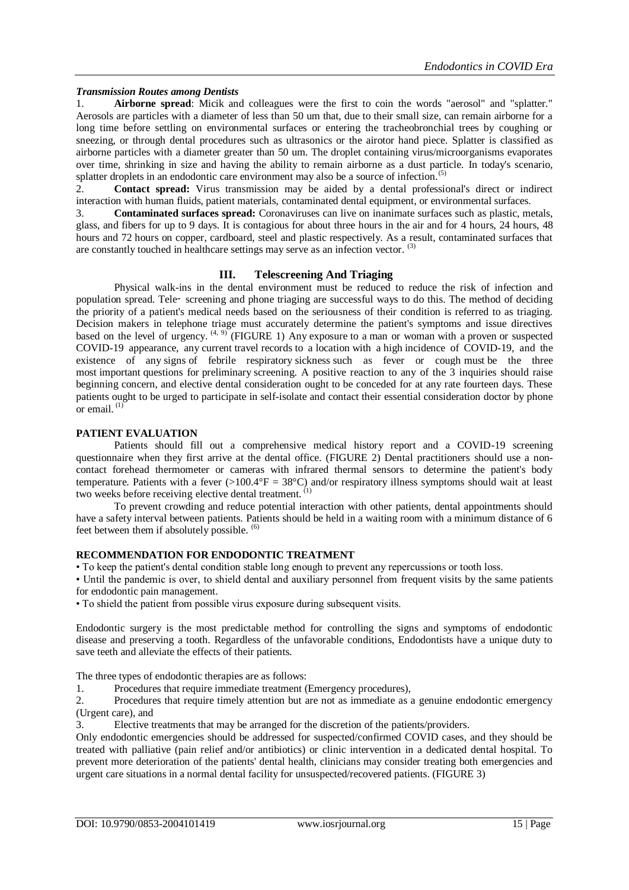### *Transmission Routes among Dentists*

1. **Airborne spread**: Micik and colleagues were the first to coin the words "aerosol" and "splatter." Aerosols are particles with a diameter of less than 50 um that, due to their small size, can remain airborne for a long time before settling on environmental surfaces or entering the tracheobronchial trees by coughing or sneezing, or through dental procedures such as ultrasonics or the airotor hand piece. Splatter is classified as airborne particles with a diameter greater than 50 um. The droplet containing virus/microorganisms evaporates over time, shrinking in size and having the ability to remain airborne as a dust particle. In today's scenario, splatter droplets in an endodontic care environment may also be a source of infection.<sup>(5)</sup>

2. **Contact spread:** Virus transmission may be aided by a dental professional's direct or indirect interaction with human fluids, patient materials, contaminated dental equipment, or environmental surfaces.

3. **Contaminated surfaces spread:** Coronaviruses can live on inanimate surfaces such as plastic, metals, glass, and fibers for up to 9 days. It is contagious for about three hours in the air and for 4 hours, 24 hours, 48 hours and 72 hours on copper, cardboard, steel and plastic respectively. As a result, contaminated surfaces that are constantly touched in healthcare settings may serve as an infection vector. (3)

### **III. Telescreening And Triaging**

Physical walk-ins in the dental environment must be reduced to reduce the risk of infection and population spread. Tele‑ screening and phone triaging are successful ways to do this. The method of deciding the priority of a patient's medical needs based on the seriousness of their condition is referred to as triaging. Decision makers in telephone triage must accurately determine the patient's symptoms and issue directives based on the level of urgency.  $(4, 9)$  (FIGURE 1) Any exposure to a man or woman with a proven or suspected COVID-19 appearance, any current travel records to a location with a high incidence of COVID-19, and the existence of any signs of febrile respiratory sickness such as fever or cough must be the three most important questions for preliminary screening. A positive reaction to any of the 3 inquiries should raise beginning concern, and elective dental consideration ought to be conceded for at any rate fourteen days. These patients ought to be urged to participate in self-isolate and contact their essential consideration doctor by phone or email. $^{(1)}$ 

### **PATIENT EVALUATION**

Patients should fill out a comprehensive medical history report and a COVID-19 screening questionnaire when they first arrive at the dental office. (FIGURE 2) Dental practitioners should use a noncontact forehead thermometer or cameras with infrared thermal sensors to determine the patient's body temperature. Patients with a fever  $(>100.4^{\circ}F = 38^{\circ}C)$  and/or respiratory illness symptoms should wait at least two weeks before receiving elective dental treatment. (1)

To prevent crowding and reduce potential interaction with other patients, dental appointments should have a safety interval between patients. Patients should be held in a waiting room with a minimum distance of 6 feet between them if absolutely possible. (6)

### **RECOMMENDATION FOR ENDODONTIC TREATMENT**

• To keep the patient's dental condition stable long enough to prevent any repercussions or tooth loss.

• Until the pandemic is over, to shield dental and auxiliary personnel from frequent visits by the same patients for endodontic pain management.

• To shield the patient from possible virus exposure during subsequent visits.

Endodontic surgery is the most predictable method for controlling the signs and symptoms of endodontic disease and preserving a tooth. Regardless of the unfavorable conditions, Endodontists have a unique duty to save teeth and alleviate the effects of their patients.

The three types of endodontic therapies are as follows:

1. Procedures that require immediate treatment (Emergency procedures),

2. Procedures that require timely attention but are not as immediate as a genuine endodontic emergency (Urgent care), and

3. Elective treatments that may be arranged for the discretion of the patients/providers.

Only endodontic emergencies should be addressed for suspected/confirmed COVID cases, and they should be treated with palliative (pain relief and/or antibiotics) or clinic intervention in a dedicated dental hospital. To prevent more deterioration of the patients' dental health, clinicians may consider treating both emergencies and urgent care situations in a normal dental facility for unsuspected/recovered patients. (FIGURE 3)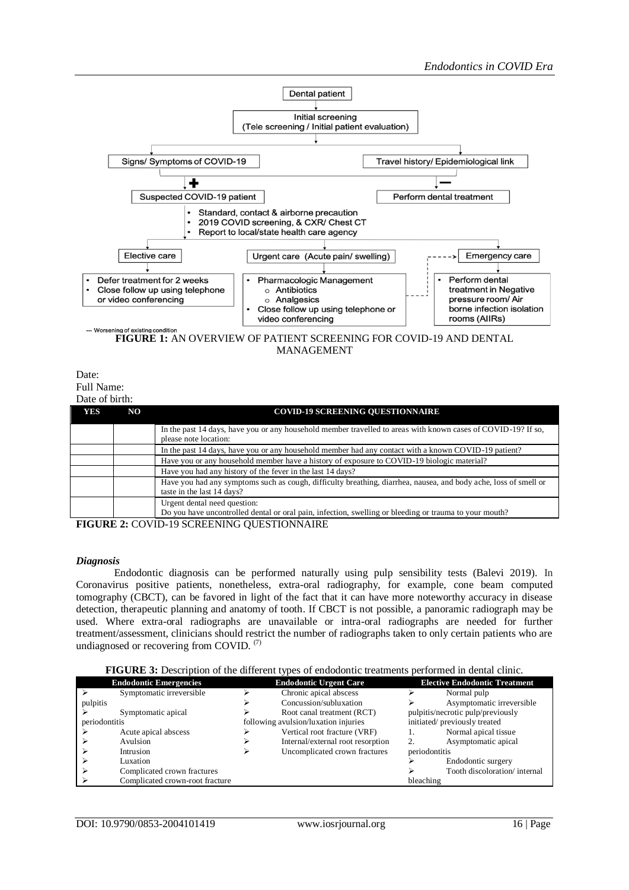

Date: Full Name:

| Date of birth: |     |                                                                                                                                                |  |  |  |
|----------------|-----|------------------------------------------------------------------------------------------------------------------------------------------------|--|--|--|
| <b>YES</b>     | NO. | <b>COVID-19 SCREENING OUESTIONNAIRE</b>                                                                                                        |  |  |  |
|                |     | In the past 14 days, have you or any household member travelled to areas with known cases of COVID-19? If so,<br>please note location:         |  |  |  |
|                |     | In the past 14 days, have you or any household member had any contact with a known COVID-19 patient?                                           |  |  |  |
|                |     | Have you or any household member have a history of exposure to COVID-19 biologic material?                                                     |  |  |  |
|                |     | Have you had any history of the fever in the last 14 days?                                                                                     |  |  |  |
|                |     | Have you had any symptoms such as cough, difficulty breathing, diarrhea, nausea, and body ache, loss of smell or<br>taste in the last 14 days? |  |  |  |
|                |     | Urgent dental need question:<br>Do you have uncontrolled dental or oral pain, infection, swelling or bleeding or trauma to your mouth?         |  |  |  |

**FIGURE 2:** COVID-19 SCREENING QUESTIONNAIRE

### *Diagnosis*

Endodontic diagnosis can be performed naturally using pulp sensibility tests (Balevi 2019). In Coronavirus positive patients, nonetheless, extra-oral radiography, for example, cone beam computed tomography (CBCT), can be favored in light of the fact that it can have more noteworthy accuracy in disease detection, therapeutic planning and anatomy of tooth. If CBCT is not possible, a panoramic radiograph may be used. Where extra-oral radiographs are unavailable or intra-oral radiographs are needed for further treatment/assessment, clinicians should restrict the number of radiographs taken to only certain patients who are undiagnosed or recovering from COVID.<sup>(7)</sup>

|  | FIGURE 3: Description of the different types of endodontic treatments performed in dental clinic. |  |
|--|---------------------------------------------------------------------------------------------------|--|
|  |                                                                                                   |  |

|               | <b>Endodontic Emergencies</b>   | <b>Endodontic Urgent Care</b>        |                                   | <b>Elective Endodontic Treatment</b> |                              |
|---------------|---------------------------------|--------------------------------------|-----------------------------------|--------------------------------------|------------------------------|
|               | Symptomatic irreversible        |                                      | Chronic apical abscess            |                                      | Normal pulp                  |
| pulpitis      |                                 |                                      | Concussion/subluxation            |                                      | Asymptomatic irreversible    |
|               | Symptomatic apical              |                                      | Root canal treatment (RCT)        | pulpitis/necrotic pulp/previously    |                              |
| periodontitis |                                 | following avulsion/luxation injuries |                                   | initiated/previously treated         |                              |
|               | Acute apical abscess            |                                      | Vertical root fracture (VRF)      |                                      | Normal apical tissue         |
|               | Avulsion                        |                                      | Internal/external root resorption |                                      | Asymptomatic apical          |
|               | Intrusion                       |                                      | Uncomplicated crown fractures     | periodontitis                        |                              |
|               | Luxation                        |                                      |                                   |                                      | Endodontic surgery           |
|               | Complicated crown fractures     |                                      |                                   |                                      | Tooth discoloration/internal |
|               | Complicated crown-root fracture |                                      |                                   | bleaching                            |                              |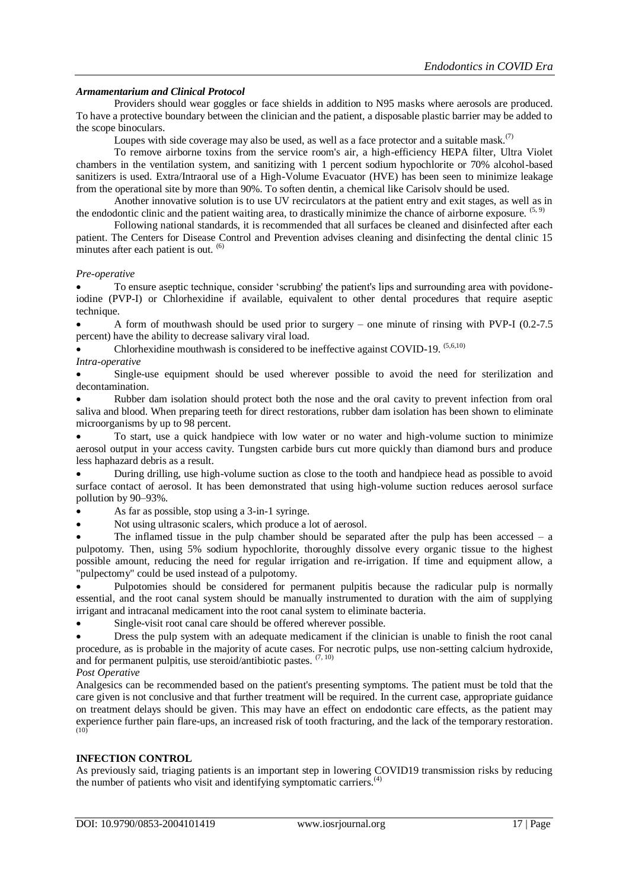### *Armamentarium and Clinical Protocol*

Providers should wear goggles or face shields in addition to N95 masks where aerosols are produced. To have a protective boundary between the clinician and the patient, a disposable plastic barrier may be added to the scope binoculars.

Loupes with side coverage may also be used, as well as a face protector and a suitable mask.<sup>(7)</sup>

To remove airborne toxins from the service room's air, a high-efficiency HEPA filter, Ultra Violet chambers in the ventilation system, and sanitizing with 1 percent sodium hypochlorite or 70% alcohol-based sanitizers is used. Extra/Intraoral use of a High-Volume Evacuator (HVE) has been seen to minimize leakage from the operational site by more than 90%. To soften dentin, a chemical like Carisolv should be used.

Another innovative solution is to use UV recirculators at the patient entry and exit stages, as well as in the endodontic clinic and the patient waiting area, to drastically minimize the chance of airborne exposure.  $(5, 9)$ 

Following national standards, it is recommended that all surfaces be cleaned and disinfected after each patient. The Centers for Disease Control and Prevention advises cleaning and disinfecting the dental clinic 15 minutes after each patient is out. <sup>(6)</sup>

### *Pre-operative*

 To ensure aseptic technique, consider 'scrubbing' the patient's lips and surrounding area with povidoneiodine (PVP-I) or Chlorhexidine if available, equivalent to other dental procedures that require aseptic technique.

 A form of mouthwash should be used prior to surgery – one minute of rinsing with PVP-I (0.2-7.5 percent) have the ability to decrease salivary viral load.

Chlorhexidine mouthwash is considered to be ineffective against COVID-19. <sup>(5,6,10)</sup> *Intra-operative*

 Single-use equipment should be used wherever possible to avoid the need for sterilization and decontamination.

 Rubber dam isolation should protect both the nose and the oral cavity to prevent infection from oral saliva and blood. When preparing teeth for direct restorations, rubber dam isolation has been shown to eliminate microorganisms by up to 98 percent.

 To start, use a quick handpiece with low water or no water and high-volume suction to minimize aerosol output in your access cavity. Tungsten carbide burs cut more quickly than diamond burs and produce less haphazard debris as a result.

 During drilling, use high-volume suction as close to the tooth and handpiece head as possible to avoid surface contact of aerosol. It has been demonstrated that using high-volume suction reduces aerosol surface pollution by 90–93%.

As far as possible, stop using a 3-in-1 syringe.

Not using ultrasonic scalers, which produce a lot of aerosol.

The inflamed tissue in the pulp chamber should be separated after the pulp has been accessed  $-$  a pulpotomy. Then, using 5% sodium hypochlorite, thoroughly dissolve every organic tissue to the highest possible amount, reducing the need for regular irrigation and re-irrigation. If time and equipment allow, a "pulpectomy" could be used instead of a pulpotomy.

 Pulpotomies should be considered for permanent pulpitis because the radicular pulp is normally essential, and the root canal system should be manually instrumented to duration with the aim of supplying irrigant and intracanal medicament into the root canal system to eliminate bacteria.

Single-visit root canal care should be offered wherever possible.

 Dress the pulp system with an adequate medicament if the clinician is unable to finish the root canal procedure, as is probable in the majority of acute cases. For necrotic pulps, use non-setting calcium hydroxide, and for permanent pulpitis, use steroid/antibiotic pastes.  $(7, 10)$ 

### *Post Operative*

Analgesics can be recommended based on the patient's presenting symptoms. The patient must be told that the care given is not conclusive and that further treatment will be required. In the current case, appropriate guidance on treatment delays should be given. This may have an effect on endodontic care effects, as the patient may experience further pain flare-ups, an increased risk of tooth fracturing, and the lack of the temporary restoration. (10)

### **INFECTION CONTROL**

As previously said, triaging patients is an important step in lowering COVID19 transmission risks by reducing the number of patients who visit and identifying symptomatic carriers.<sup>(4)</sup>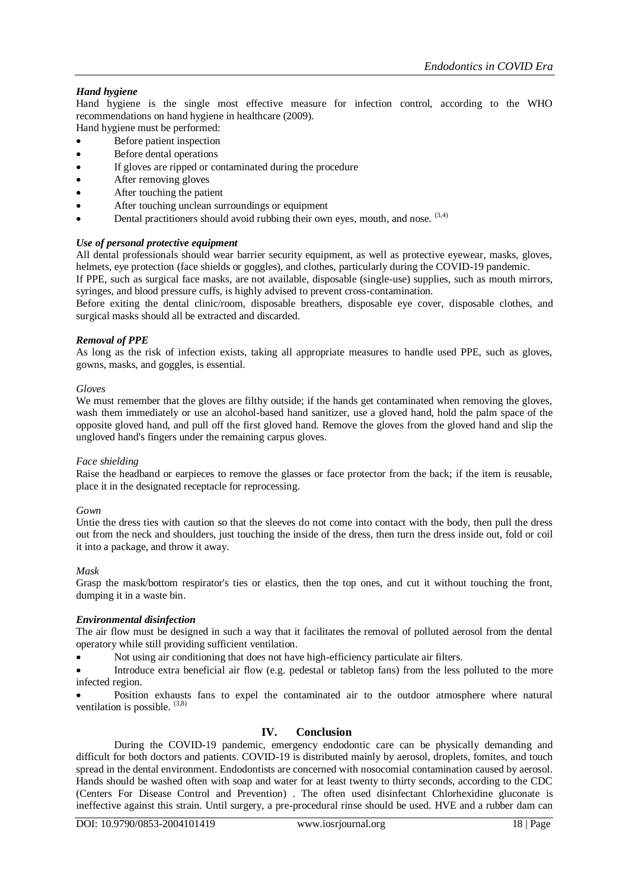### *Hand hygiene*

Hand hygiene is the single most effective measure for infection control, according to the WHO recommendations on hand hygiene in healthcare (2009).

- Hand hygiene must be performed:
- Before patient inspection Before dental operations
- If gloves are ripped or contaminated during the procedure
- After removing gloves
- After touching the patient
- After touching unclean surroundings or equipment
- Dental practitioners should avoid rubbing their own eyes, mouth, and nose.  $(3,4)$

### *Use of personal protective equipment*

All dental professionals should wear barrier security equipment, as well as protective eyewear, masks, gloves, helmets, eye protection (face shields or goggles), and clothes, particularly during the COVID-19 pandemic.

If PPE, such as surgical face masks, are not available, disposable (single-use) supplies, such as mouth mirrors, syringes, and blood pressure cuffs, is highly advised to prevent cross-contamination.

Before exiting the dental clinic/room, disposable breathers, disposable eye cover, disposable clothes, and surgical masks should all be extracted and discarded.

### *Removal of PPE*

As long as the risk of infection exists, taking all appropriate measures to handle used PPE, such as gloves, gowns, masks, and goggles, is essential.

### *Gloves*

We must remember that the gloves are filthy outside; if the hands get contaminated when removing the gloves, wash them immediately or use an alcohol-based hand sanitizer, use a gloved hand, hold the palm space of the opposite gloved hand, and pull off the first gloved hand. Remove the gloves from the gloved hand and slip the ungloved hand's fingers under the remaining carpus gloves.

### *Face shielding*

Raise the headband or earpieces to remove the glasses or face protector from the back; if the item is reusable, place it in the designated receptacle for reprocessing.

### *Gown*

Untie the dress ties with caution so that the sleeves do not come into contact with the body, then pull the dress out from the neck and shoulders, just touching the inside of the dress, then turn the dress inside out, fold or coil it into a package, and throw it away.

### *Mask*

Grasp the mask/bottom respirator's ties or elastics, then the top ones, and cut it without touching the front, dumping it in a waste bin.

### *Environmental disinfection*

The air flow must be designed in such a way that it facilitates the removal of polluted aerosol from the dental operatory while still providing sufficient ventilation.

Not using air conditioning that does not have high-efficiency particulate air filters.

 Introduce extra beneficial air flow (e.g. pedestal or tabletop fans) from the less polluted to the more infected region.

 Position exhausts fans to expel the contaminated air to the outdoor atmosphere where natural ventilation is possible.  $(3,8)$ 

### **IV. Conclusion**

During the COVID-19 pandemic, emergency endodontic care can be physically demanding and difficult for both doctors and patients. COVID-19 is distributed mainly by aerosol, droplets, fomites, and touch spread in the dental environment. Endodontists are concerned with nosocomial contamination caused by aerosol. Hands should be washed often with soap and water for at least twenty to thirty seconds, according to the CDC (Centers For Disease Control and Prevention) . The often used disinfectant Chlorhexidine gluconate is ineffective against this strain. Until surgery, a pre-procedural rinse should be used. HVE and a rubber dam can